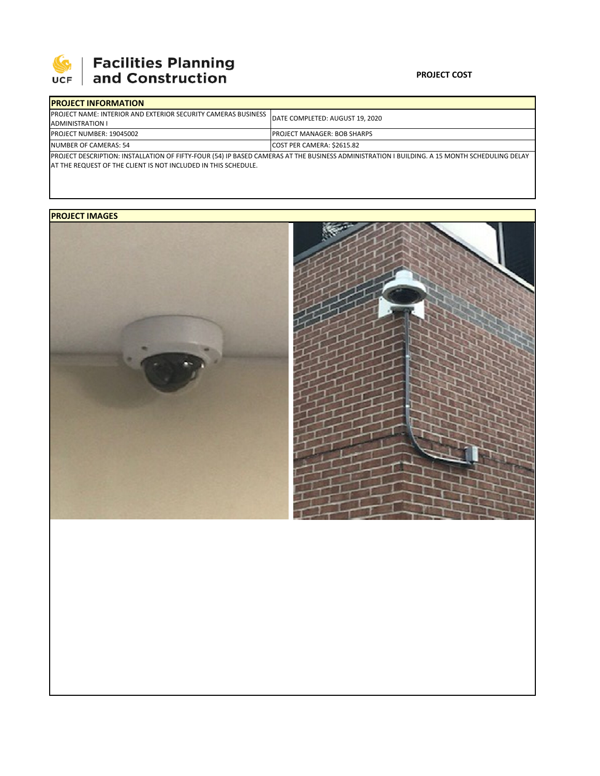

# **SEPTE AND Facilities Planning**<br>UCF and Construction

### **PROJECT COST**

| <b>IPROJECT INFORMATION</b>                                                                                                                  |  |                                     |  |  |  |
|----------------------------------------------------------------------------------------------------------------------------------------------|--|-------------------------------------|--|--|--|
| <b>IPROJECT NAME: INTERIOR AND EXTERIOR SECURITY CAMERAS BUSINESS</b>                                                                        |  | DATE COMPLETED: AUGUST 19, 2020     |  |  |  |
| ADMINISTRATION I                                                                                                                             |  |                                     |  |  |  |
| <b>PROJECT NUMBER: 19045002</b>                                                                                                              |  | <b>IPROJECT MANAGER: BOB SHARPS</b> |  |  |  |
| NUMBER OF CAMERAS: 54                                                                                                                        |  | COST PER CAMERA: \$2615.82          |  |  |  |
| PROJECT DESCRIPTION: INSTALLATION OF FIFTY-FOUR (54) IP BASED CAMERAS AT THE BUSINESS ADMINISTRATION I BUILDING. A 15 MONTH SCHEDULING DELAY |  |                                     |  |  |  |

PROJECT DESCRIPTION: INSTALLATION OF FIFTY‐FOUR (54) IP BASED CAMERAS AT THE BUSINESS ADMINISTRATION I BUILDING. A 15 MONTH SCHEDULING DELAY AT THE REQUEST OF THE CLIENT IS NOT INCLUDED IN THIS SCHEDULE.

## **PROJECT IMAGES**